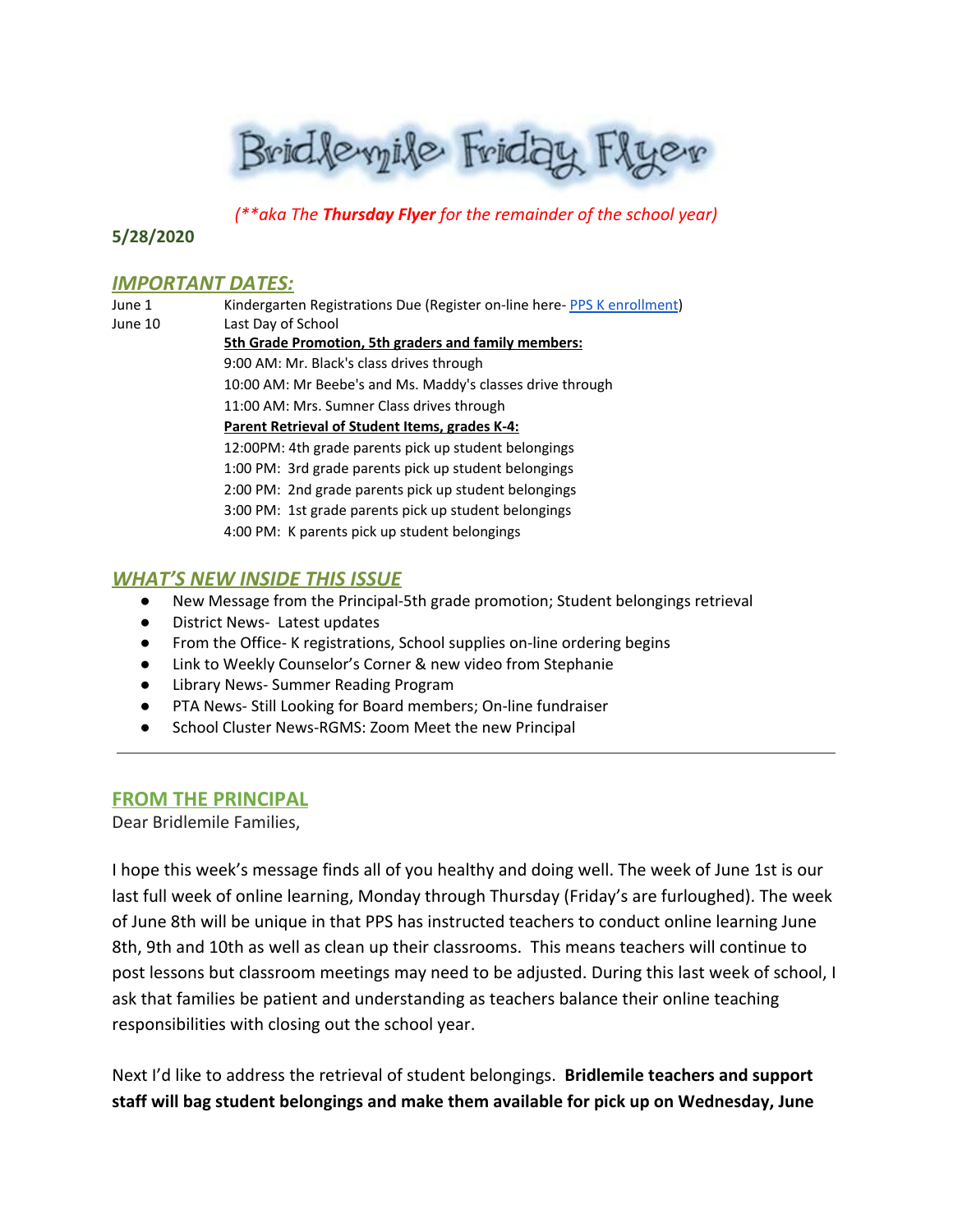Bridlevyile Friday Flyer

*(\*\*aka The Thursday Flyer for the remainder of the school year)*

**5/28/2020**

#### **IMPORTANT DATES:**

| June 1  | Kindergarten Registrations Due (Register on-line here-PPS K enrollment) |  |  |  |
|---------|-------------------------------------------------------------------------|--|--|--|
| June 10 | Last Day of School                                                      |  |  |  |
|         | 5th Grade Promotion, 5th graders and family members:                    |  |  |  |
|         | 9:00 AM: Mr. Black's class drives through                               |  |  |  |
|         | 10:00 AM: Mr Beebe's and Ms. Maddy's classes drive through              |  |  |  |
|         | 11:00 AM: Mrs. Sumner Class drives through                              |  |  |  |
|         | Parent Retrieval of Student Items, grades K-4:                          |  |  |  |
|         | 12:00PM: 4th grade parents pick up student belongings                   |  |  |  |
|         | 1:00 PM: 3rd grade parents pick up student belongings                   |  |  |  |
|         | 2:00 PM: 2nd grade parents pick up student belongings                   |  |  |  |
|         | 3:00 PM: 1st grade parents pick up student belongings                   |  |  |  |
|         | 4:00 PM: K parents pick up student belongings                           |  |  |  |
|         |                                                                         |  |  |  |

## *WHAT'S NEW INSIDE THIS ISSUE*

- New Message from the Principal-5th grade promotion; Student belongings retrieval
- District News- Latest updates
- From the Office- K registrations, School supplies on-line ordering begins
- Link to Weekly Counselor's Corner & new video from Stephanie
- Library News- Summer Reading Program
- PTA News- Still Looking for Board members; On-line fundraiser
- School Cluster News-RGMS: Zoom Meet the new Principal

#### **FROM THE PRINCIPAL**

Dear Bridlemile Families,

I hope this week's message finds all of you healthy and doing well. The week of June 1st is our last full week of online learning, Monday through Thursday (Friday's are furloughed). The week of June 8th will be unique in that PPS has instructed teachers to conduct online learning June 8th, 9th and 10th as well as clean up their classrooms. This means teachers will continue to post lessons but classroom meetings may need to be adjusted. During this last week of school, I ask that families be patient and understanding as teachers balance their online teaching responsibilities with closing out the school year.

Next I'd like to address the retrieval of student belongings. **Bridlemile teachers and support staff will bag student belongings and make them available for pick up on Wednesday, June**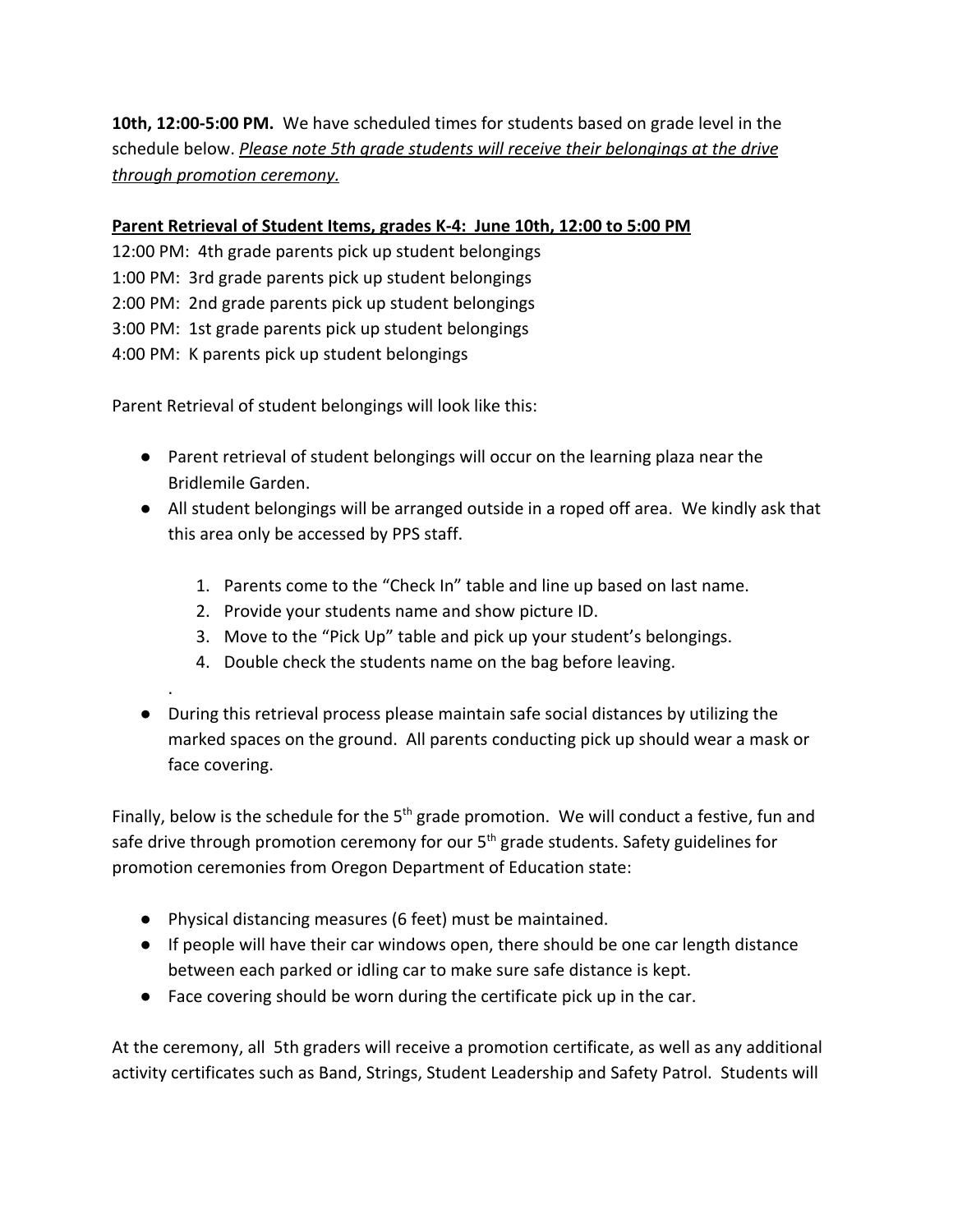**10th, 12:00-5:00 PM.** We have scheduled times for students based on grade level in the schedule below. *Please note 5th grade students will receive their belongings at the drive through promotion ceremony.*

## **Parent Retrieval of Student Items, grades K-4: June 10th, 12:00 to 5:00 PM**

12:00 PM: 4th grade parents pick up student belongings 1:00 PM: 3rd grade parents pick up student belongings 2:00 PM: 2nd grade parents pick up student belongings 3:00 PM: 1st grade parents pick up student belongings 4:00 PM: K parents pick up student belongings

Parent Retrieval of student belongings will look like this:

.

- Parent retrieval of student belongings will occur on the learning plaza near the Bridlemile Garden.
- All student belongings will be arranged outside in a roped off area. We kindly ask that this area only be accessed by PPS staff.
	- 1. Parents come to the "Check In" table and line up based on last name.
	- 2. Provide your students name and show picture ID.
	- 3. Move to the "Pick Up" table and pick up your student's belongings.
	- 4. Double check the students name on the bag before leaving.
- During this retrieval process please maintain safe social distances by utilizing the marked spaces on the ground. All parents conducting pick up should wear a mask or face covering.

Finally, below is the schedule for the 5<sup>th</sup> grade promotion. We will conduct a festive, fun and safe drive through promotion ceremony for our 5<sup>th</sup> grade students. Safety guidelines for promotion ceremonies from Oregon Department of Education state:

- Physical distancing measures (6 feet) must be maintained.
- If people will have their car windows open, there should be one car length distance between each parked or idling car to make sure safe distance is kept.
- Face covering should be worn during the certificate pick up in the car.

At the ceremony, all 5th graders will receive a promotion certificate, as well as any additional activity certificates such as Band, Strings, Student Leadership and Safety Patrol. Students will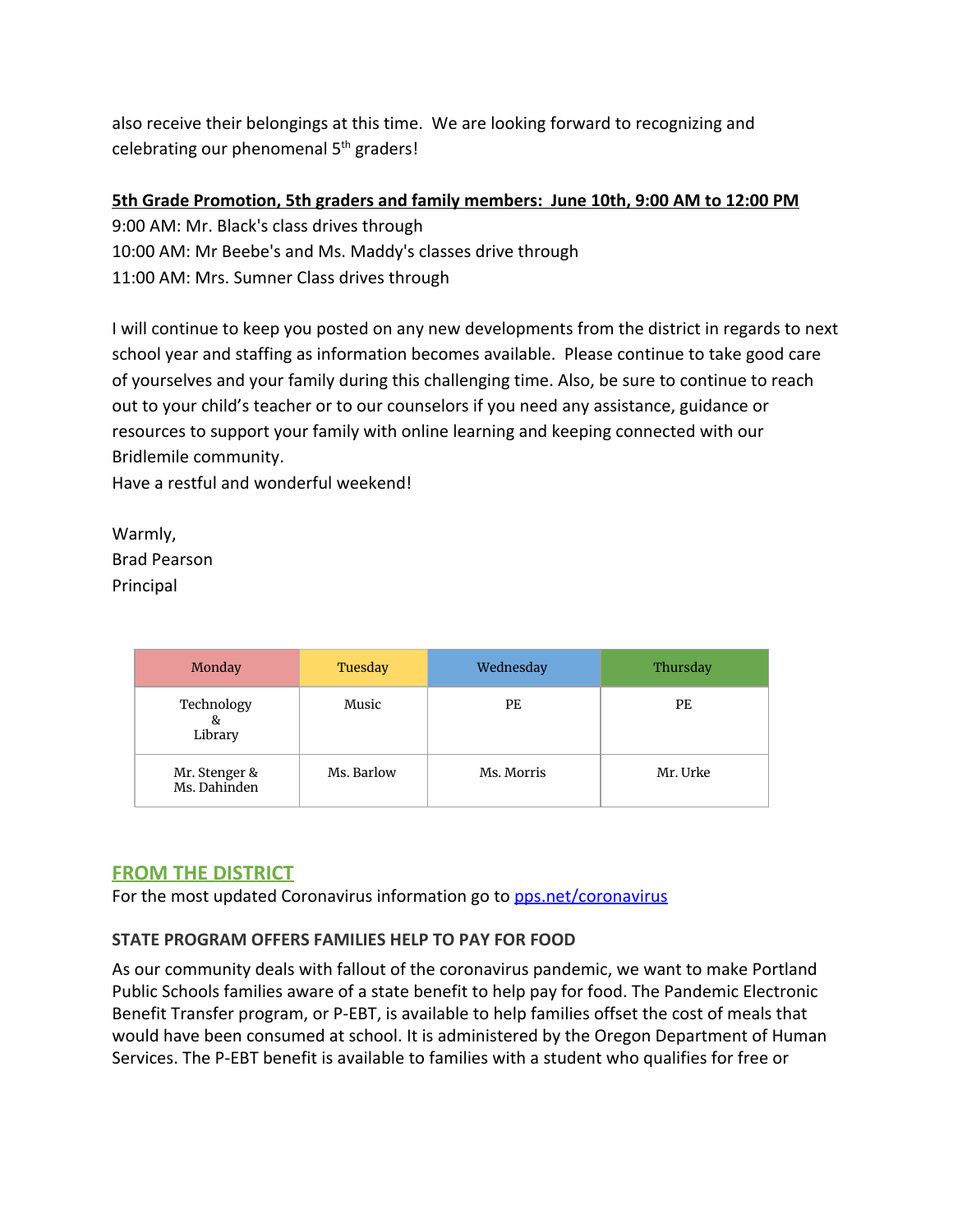also receive their belongings at this time. We are looking forward to recognizing and celebrating our phenomenal 5<sup>th</sup> graders!

## **5th Grade Promotion, 5th graders and family members: June 10th, 9:00 AM to 12:00 PM**

9:00 AM: Mr. Black's class drives through

10:00 AM: Mr Beebe's and Ms. Maddy's classes drive through

11:00 AM: Mrs. Sumner Class drives through

I will continue to keep you posted on any new developments from the district in regards to next school year and staffing as information becomes available. Please continue to take good care of yourselves and your family during this challenging time. Also, be sure to continue to reach out to your child's teacher or to our counselors if you need any assistance, guidance or resources to support your family with online learning and keeping connected with our Bridlemile community.

Have a restful and wonderful weekend!

Warmly, Brad Pearson Principal

|  | Monday                        | Tuesday    | Wednesday  | Thursday |
|--|-------------------------------|------------|------------|----------|
|  | Technology<br>&<br>Library    | Music      | PE         | РE       |
|  | Mr. Stenger &<br>Ms. Dahinden | Ms. Barlow | Ms. Morris | Mr. Urke |

# **FROM THE DISTRICT**

For the most updated Coronavirus information go to **[pps.net/coronavirus](http://track.spe.schoolmessenger.com/f/a/oZfGYFGWlPSuz04Ea4-9gA~~/AAAAAQA~/RgRgZlDRP0QfaHR0cHM6Ly93d3cucHBzLm5ldC9jb3JvbmF2aXJ1c1cHc2Nob29sbUIKAABRHYVennNdt1IURnJlY2tsZTFAY29tY2FzdC5uZXRYBAAAAAE~)** 

# **STATE PROGRAM OFFERS FAMILIES HELP TO PAY FOR FOOD**

As our community deals with fallout of the coronavirus pandemic, we want to make Portland Public Schools families aware of a state benefit to help pay for food. The Pandemic Electronic Benefit Transfer program, or P-EBT, is available to help families offset the cost of meals that would have been consumed at school. It is administered by the Oregon Department of Human Services. The P-EBT benefit is available to families with a student who qualifies for free or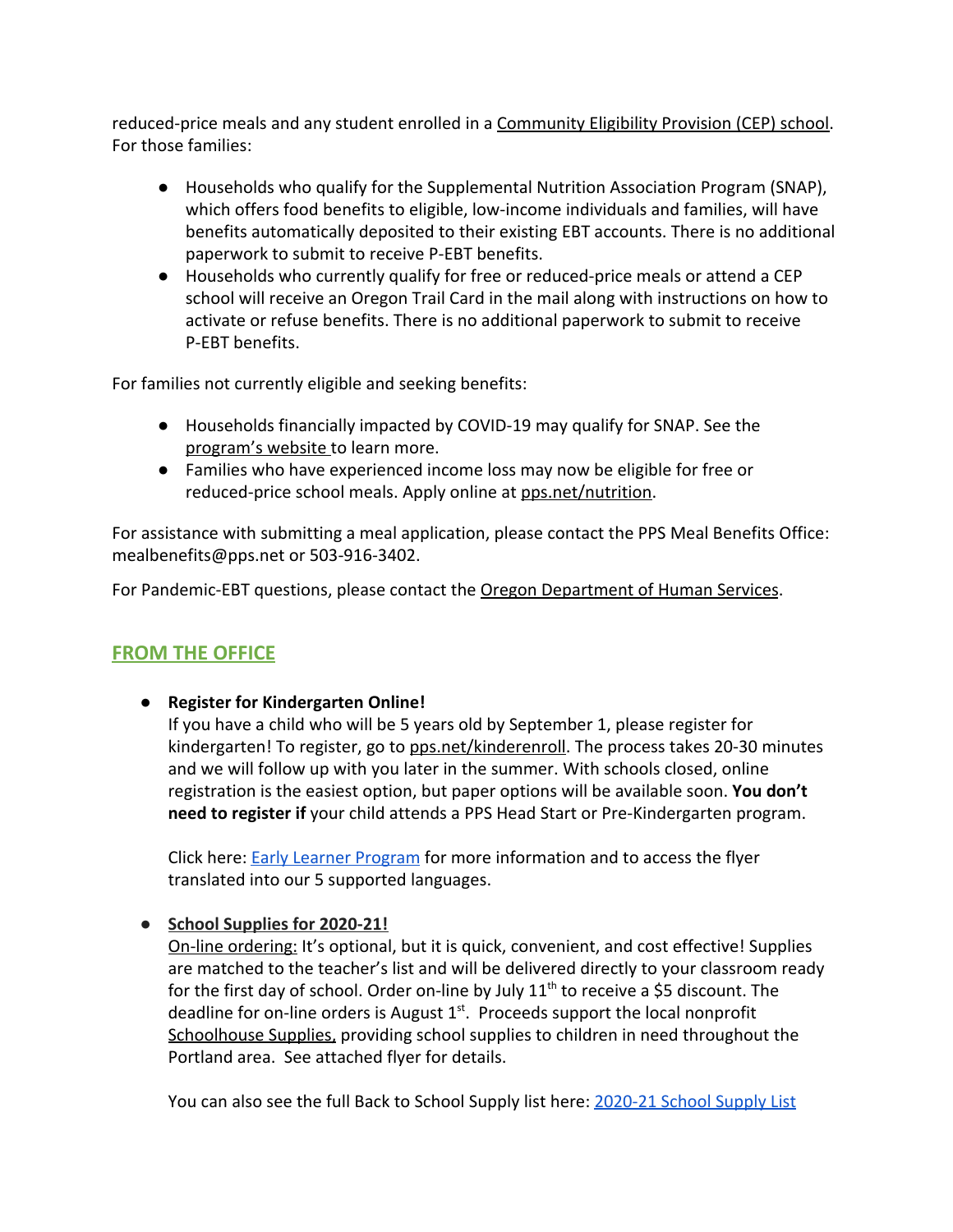reduced-price meals and any student enrolled in a [Community Eligibility Provision \(CEP\) school.](https://www.pps.net/Page/2088) For those families:

- Households who qualify for the Supplemental Nutrition Association Program (SNAP), which offers food benefits to eligible, low-income individuals and families, will have benefits automatically deposited to their existing EBT accounts. There is no additional paperwork to submit to receive P-EBT benefits.
- Households who currently qualify for free or reduced-price meals or attend a CEP school will receive an Oregon Trail Card in the mail along with instructions on how to activate or refuse benefits. There is no additional paperwork to submit to receive P-EBT benefits.

For families not currently eligible and seeking benefits:

- Households financially impacted by COVID-19 may qualify for SNAP. See the [program's website t](https://govstatus.egov.com/or-dhs-benefits)o learn more.
- Families who have experienced income loss may now be eligible for free or reduced-price school meals. Apply online at [pps.net/nutrition](http://www.pps.net/nutrition).

For assistance with submitting a meal application, please contact the PPS Meal Benefits Office: mealbenefits@pps.net or 503-916-3402.

For Pandemic-EBT questions, please contact the [Oregon Department of Human Services](https://www.oregon.gov/dhs/Pages/index.aspx).

# **FROM THE OFFICE**

● **Register for Kindergarten Online!**

If you have a child who will be 5 years old by September 1, please register for kindergarten! To register, go to [pps.net/kinderenroll.](http://www.pps.net/kinderenroll) The process takes 20-30 minutes and we will follow up with you later in the summer. With schools closed, online registration is the easiest option, but paper options will be available soon. **You don't need to register if** your child attends a PPS Head Start or Pre-Kindergarten program.

Click here: [Early Learner Program](https://www.pps.net/Domain/183) for more information and to access the flyer translated into our 5 supported languages.

**● School Supplies for 2020-21!**

On-line ordering: It's optional, but it is quick, convenient, and cost effective! Supplies are matched to the teacher's list and will be delivered directly to your classroom ready for the first day of school. Order on-line by July  $11<sup>th</sup>$  to receive a \$5 discount. The deadline for on-line orders is August  $1<sup>st</sup>$ . Proceeds support the local nonprofit Schoolhouse Supplies, providing school supplies to children in need throughout the Portland area. See attached flyer for details.

You can also see the full Back to School Supply list here: [2020-21 School Supply List](https://drive.google.com/file/d/1nY0suHKBHvRRskMNXQaK6m1NmQ1DsMrT/view?usp=sharing)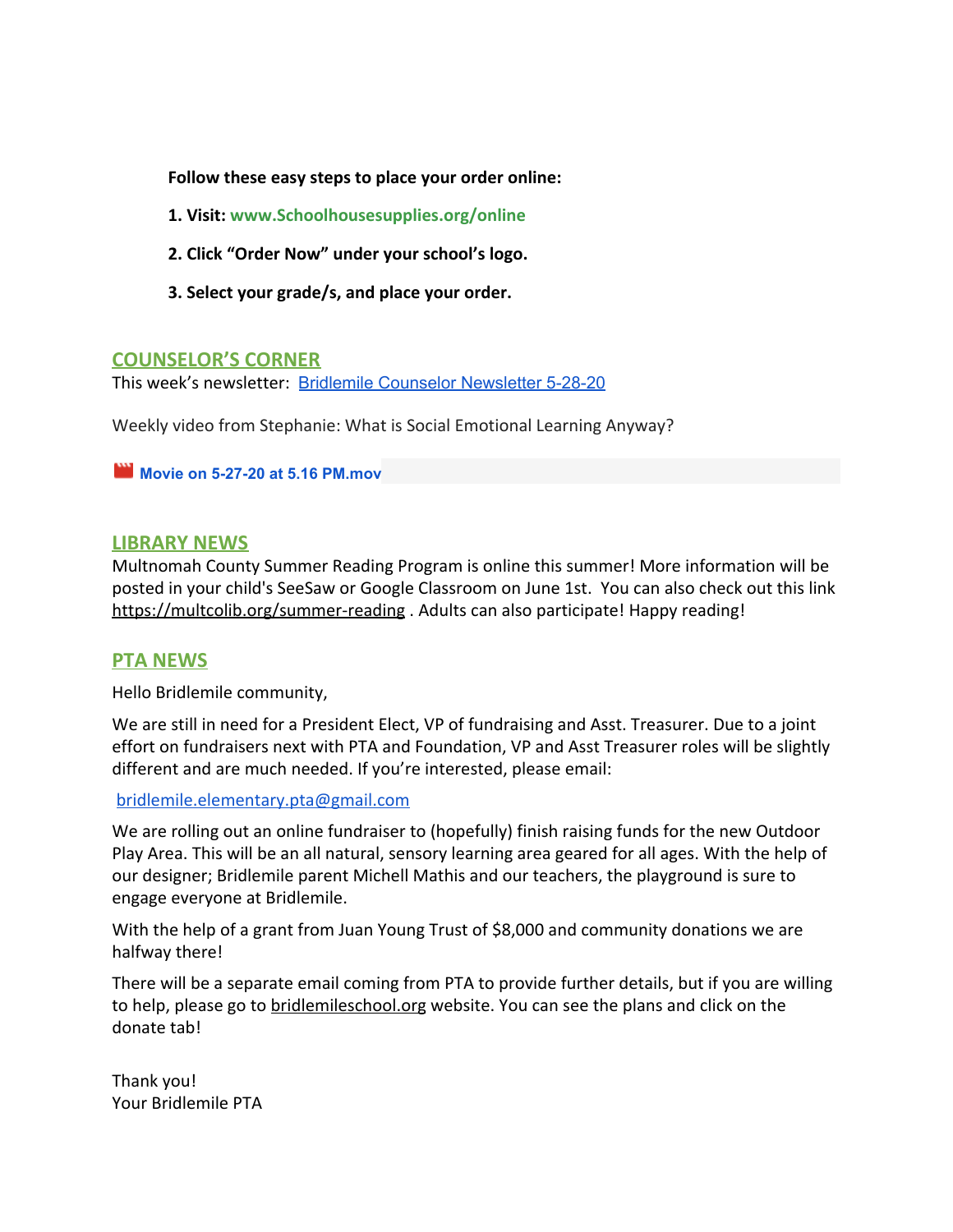**Follow these easy steps to place your order online:**

- **1. Visit: www.Schoolhousesupplies.org/online**
- **2. Click "Order Now" under your school's logo.**
- **3. Select your grade/s, and place your order.**

#### **COUNSELOR'S CORNER**

This week's newsletter: Bridlemile Counselor [Newsletter](https://docs.google.com/document/d/1O5SOWdKGyFEIrhvCE2bcQHP7Jkj8GeGGJ86_8sJWyCw/edit?usp=sharing) 5-28-20

Weekly video from Stephanie: What is Social Emotional Learning Anyway?

**Movie on 5-27-20 at 5.16 [PM.mov](https://drive.google.com/file/d/1lbb-aFzzLR1dhy8mUmg8_QnTzTbQIudF/view?usp=drive_web)**

#### **LIBRARY NEWS**

Multnomah County Summer Reading Program is online this summer! More information will be posted in your child's SeeSaw or Google Classroom on June 1st. You can also check out this link <https://multcolib.org/summer-reading> . Adults can also participate! Happy reading!

## **PTA NEWS**

Hello Bridlemile community,

We are still in need for a President Elect, VP of fundraising and Asst. Treasurer. Due to a joint effort on fundraisers next with PTA and Foundation, VP and Asst Treasurer roles will be slightly different and are much needed. If you're interested, please email:

#### [bridlemile.elementary.pta@gmail.com](mailto:bridlemile.elementary.pta@gmail.com)

We are rolling out an online fundraiser to (hopefully) finish raising funds for the new Outdoor Play Area. This will be an all natural, sensory learning area geared for all ages. With the help of our designer; Bridlemile parent Michell Mathis and our teachers, the playground is sure to engage everyone at Bridlemile.

With the help of a grant from Juan Young Trust of \$8,000 and community donations we are halfway there!

There will be a separate email coming from PTA to provide further details, but if you are willing to help, please go to [bridlemileschool.org](http://bridlemilescho.org/) website. You can see the plans and click on the donate tab!

Thank you! Your Bridlemile PTA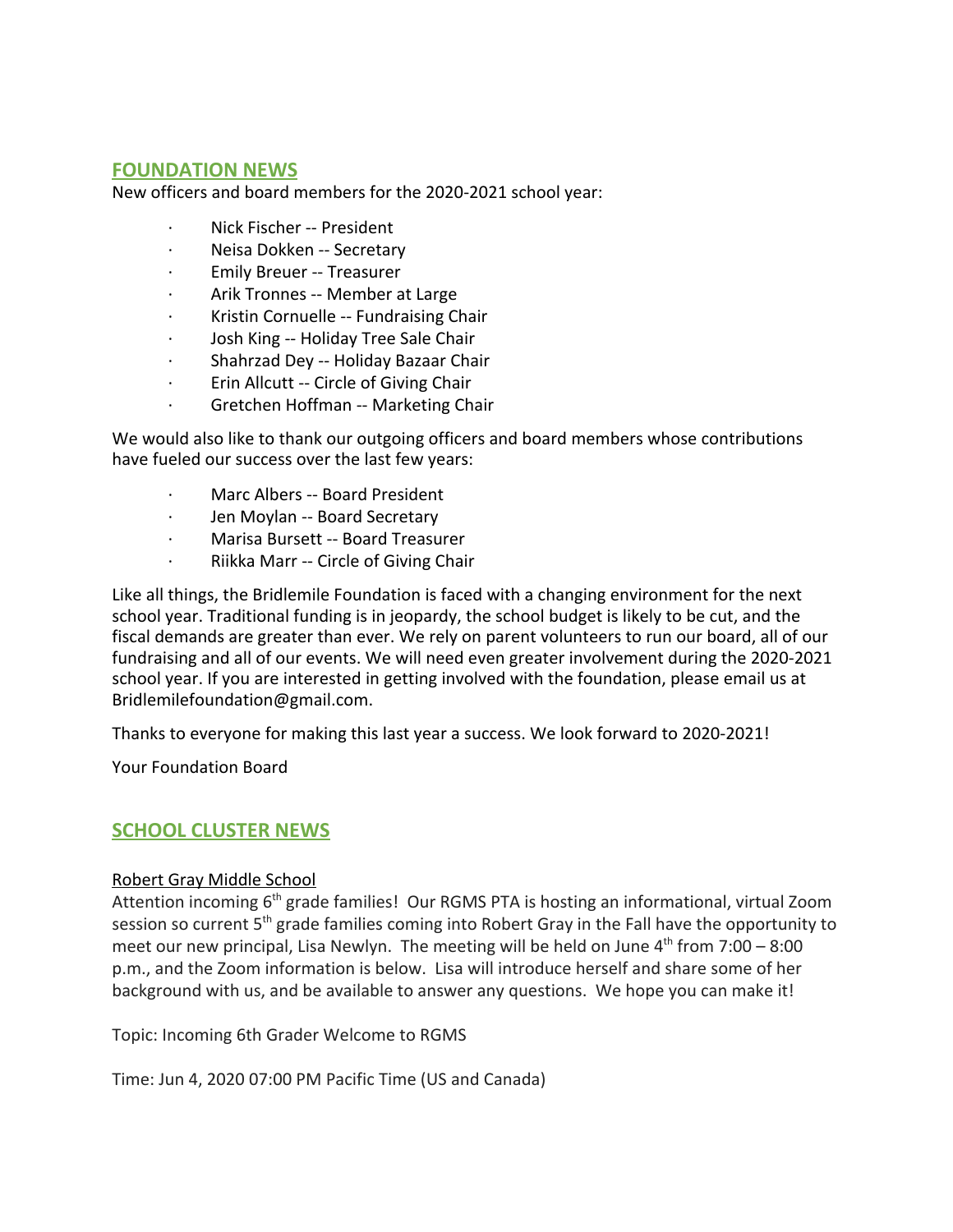## **FOUNDATION NEWS**

New officers and board members for the 2020-2021 school year:

- Nick Fischer -- President
- · Neisa Dokken -- Secretary
- · Emily Breuer -- Treasurer
- Arik Tronnes -- Member at Large
- · Kristin Cornuelle -- Fundraising Chair
- · Josh King -- Holiday Tree Sale Chair
- · Shahrzad Dey -- Holiday Bazaar Chair
- · Erin Allcutt -- Circle of Giving Chair
- · Gretchen Hoffman -- Marketing Chair

We would also like to thank our outgoing officers and board members whose contributions have fueled our success over the last few years:

- Marc Albers -- Board President
- · Jen Moylan -- Board Secretary
- · Marisa Bursett -- Board Treasurer
- · Riikka Marr -- Circle of Giving Chair

Like all things, the Bridlemile Foundation is faced with a changing environment for the next school year. Traditional funding is in jeopardy, the school budget is likely to be cut, and the fiscal demands are greater than ever. We rely on parent volunteers to run our board, all of our fundraising and all of our events. We will need even greater involvement during the 2020-2021 school year. If you are interested in getting involved with the foundation, please email us at Bridlemilefoundation@gmail.com.

Thanks to everyone for making this last year a success. We look forward to 2020-2021!

Your Foundation Board

#### **SCHOOL CLUSTER NEWS**

#### Robert Gray Middle School

Attention incoming 6<sup>th</sup> grade families! Our RGMS PTA is hosting an informational, virtual Zoom session so current 5<sup>th</sup> grade families coming into Robert Gray in the Fall have the opportunity to meet our new principal, Lisa Newlyn. The meeting will be held on June  $4^{\text{th}}$  from 7:00 – 8:00 p.m., and the Zoom information is below. Lisa will introduce herself and share some of her background with us, and be available to answer any questions. We hope you can make it!

Topic: Incoming 6th Grader Welcome to RGMS

Time: Jun 4, 2020 07:00 PM Pacific Time (US and Canada)